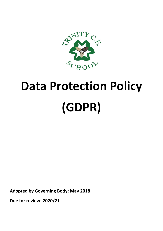

# **Data Protection Policy (GDPR)**

**Adopted by Governing Body: May 2018**

**Due for review: 2020/21**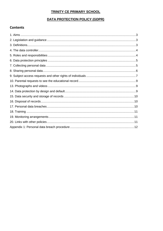# **TRINITY CE PRIMARY SCHOOL**

### DATA PROTECTION POLICY (GDPR)

## **Contents**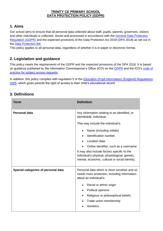#### **TRINITY CE PRIMARY SCHOOL DATA PROTECTION POLICY (GDPR)**

# **1. Aims**

Our school aims to ensure that all personal data collected about staff, pupils, parents, governors, visitors and other individuals is collected, stored and processed in accordance with the [General Data Protection](http://data.consilium.europa.eu/doc/document/ST-5419-2016-INIT/en/pdf)  [Regulation \(GDPR\)](http://data.consilium.europa.eu/doc/document/ST-5419-2016-INIT/en/pdf) and the expected provisions of the Data Protection Act 2018 (DPA 2018) as set out in the [Data Protection Bill.](https://publications.parliament.uk/pa/bills/cbill/2017-2019/0153/18153.pdf)

This policy applies to all personal data, regardless of whether it is in paper or electronic format.

# **2. Legislation and guidance**

This policy meets the requirements of the GDPR and the expected provisions of the DPA 2018. It is based on guidance published by the Information Commissioner's Office (ICO) on the [GDPR](https://ico.org.uk/for-organisations/guide-to-the-general-data-protection-regulation-gdpr/) and the ICO's [code of](https://ico.org.uk/media/for-organisations/documents/2014223/subject-access-code-of-practice.pdf)  [practice for subject access requests.](https://ico.org.uk/media/for-organisations/documents/2014223/subject-access-code-of-practice.pdf)

In addition, this policy complies with regulation 5 of the **Education (Pupil Information) (England) Regulations** [2005,](http://www.legislation.gov.uk/uksi/2005/1437/regulation/5/made) which gives parents the right of access to their child's educational record.

# **3. Definitions**

| Term                                | <b>Definition</b>                                                                                                                               |
|-------------------------------------|-------------------------------------------------------------------------------------------------------------------------------------------------|
| <b>Personal data</b>                | Any information relating to an identified, or<br>identifiable, individual.                                                                      |
|                                     | This may include the individual's:                                                                                                              |
|                                     | Name (including initials)                                                                                                                       |
|                                     | Identification number                                                                                                                           |
|                                     | Location data<br>$\bullet$                                                                                                                      |
|                                     | Online identifier, such as a username                                                                                                           |
|                                     | It may also include factors specific to the<br>individual's physical, physiological, genetic,<br>mental, economic, cultural or social identity. |
| Special categories of personal data | Personal data which is more sensitive and so<br>needs more protection, including information<br>about an individual's:                          |
|                                     | Racial or ethnic origin                                                                                                                         |
|                                     | Political opinions                                                                                                                              |
|                                     | Religious or philosophical beliefs                                                                                                              |
|                                     | Trade union membership                                                                                                                          |
|                                     | Genetics                                                                                                                                        |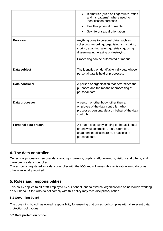|                      | Biometrics (such as fingerprints, retina<br>and iris patterns), where used for<br>identification purposes<br>Health - physical or mental<br>Sex life or sexual orientation                                                       |
|----------------------|----------------------------------------------------------------------------------------------------------------------------------------------------------------------------------------------------------------------------------|
| <b>Processing</b>    | Anything done to personal data, such as<br>collecting, recording, organising, structuring,<br>storing, adapting, altering, retrieving, using,<br>disseminating, erasing or destroying.<br>Processing can be automated or manual. |
| Data subject         | The identified or identifiable individual whose<br>personal data is held or processed.                                                                                                                                           |
| Data controller      | A person or organisation that determines the<br>purposes and the means of processing of<br>personal data.                                                                                                                        |
| Data processor       | A person or other body, other than an<br>employee of the data controller, who<br>processes personal data on behalf of the data<br>controller.                                                                                    |
| Personal data breach | A breach of security leading to the accidental<br>or unlawful destruction, loss, alteration,<br>unauthorised disclosure of, or access to<br>personal data.                                                                       |

# **4. The data controller**

Our school processes personal data relating to parents, pupils, staff, governors, visitors and others, and therefore is a data controller.

The school is registered as a data controller with the ICO and will renew this registration annually or as otherwise legally required.

# **5. Roles and responsibilities**

This policy applies to **all staff** employed by our school, and to external organisations or individuals working on our behalf. Staff who do not comply with this policy may face disciplinary action.

#### **5.1 Governing board**

The governing board has overall responsibility for ensuring that our school complies with all relevant data protection obligations.

#### **5.2 Data protection officer**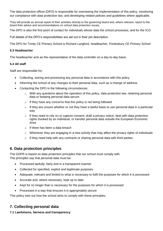The data protection officer (DPO) is responsible for overseeing the implementation of this policy, monitoring our compliance with data protection law, and developing related policies and guidelines where applicable.

They will provide an annual report of their activities directly to the governing board and, where relevant, report to the board their advice and recommendations on school data protection issues.

The DPO is also the first point of contact for individuals whose data the school processes, and for the ICO.

Full details of the DPO's responsibilities are set out in their job description.

The DPO for Trinity CE Primary School is Richard Langford, headteacher, Pontesbury CE Primary School

#### **5.3 Headteacher**

The headteacher acts as the representative of the data controller on a day-to-day basis.

#### **5.4 All staff**

Staff are responsible for:

- Collecting, storing and processing any personal data in accordance with this policy
- Informing the school of any changes to their personal data, such as a change of address
- Contacting the DPO in the following circumstances:
	- o With any questions about the operation of this policy, data protection law, retaining personal data or keeping personal data secure
	- $\circ$  If they have any concerns that this policy is not being followed
	- $\circ$  If they are unsure whether or not they have a lawful basis to use personal data in a particular way
	- $\circ$  If they need to rely on or capture consent, draft a privacy notice, deal with data protection rights invoked by an individual, or transfer personal data outside the European Economic Area
	- o If there has been a data breach
	- $\circ$  Whenever they are engaging in a new activity that may affect the privacy rights of individuals
	- $\circ$  If they need help with any contracts or sharing personal data with third parties

## **6. Data protection principles**

The GDPR is based on data protection principles that our school must comply with. The principles say that personal data must be:

- Processed lawfully, fairly and in a transparent manner
- Collected for specified, explicit and legitimate purposes
- Adequate, relevant and limited to what is necessary to fulfil the purposes for which it is processed
- Accurate and, where necessary, kept up to date
- Kept for no longer than is necessary for the purposes for which it is processed
- Processed in a way that ensures it is appropriately secure

This policy sets out how the school aims to comply with these principles.

## **7. Collecting personal data**

#### **7.1 Lawfulness, fairness and transparency**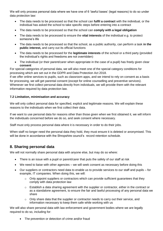We will only process personal data where we have one of 6 'lawful bases' (legal reasons) to do so under data protection law:

- The data needs to be processed so that the school can **fulfil a contract** with the individual, or the individual has asked the school to take specific steps before entering into a contract
- The data needs to be processed so that the school can **comply with a legal obligation**
- The data needs to be processed to ensure the **vital interests** of the individual e.g. to protect someone's life
- The data needs to be processed so that the school, as a public authority, can perform a task **in the public interest,** and carry out its official functions
- The data needs to be processed for the **legitimate interests** of the school or a third party (provided the individual's rights and freedoms are not overridden)
- The individual (or their parent/carer when appropriate in the case of a pupil) has freely given clear **consent**

For special categories of personal data, we will also meet one of the special category conditions for processing which are set out in the GDPR and Data Protection Act 2018.

If we offer online services to pupils, such as classroom apps, and we intend to rely on consent as a basis for processing, we will get parental consent (except for online counselling and preventive services). Whenever we first collect personal data directly from individuals, we will provide them with the relevant information required by data protection law.

#### **7.2 Limitation, minimisation and accuracy**

We will only collect personal data for specified, explicit and legitimate reasons. We will explain these reasons to the individuals when we first collect their data.

If we want to use personal data for reasons other than those given when we first obtained it, we will inform the individuals concerned before we do so, and seek consent where necessary.

Staff must only process personal data where it is necessary in order to do their jobs.

When staff no longer need the personal data they hold, they must ensure it is deleted or anonymised. This will be done in accordance with the Shropshire council's record retention schedule.

## **8. Sharing personal data**

We will not normally share personal data with anyone else, but may do so where:

- There is an issue with a pupil or parent/carer that puts the safety of our staff at risk
- We need to liaise with other agencies we will seek consent as necessary before doing this
- Our suppliers or contractors need data to enable us to provide services to our staff and pupils for example, IT companies. When doing this, we will:
	- o Only appoint suppliers or contractors which can provide sufficient guarantees that they comply with data protection law
	- $\circ$  Establish a data sharing agreement with the supplier or contractor, either in the contract or as a standalone agreement, to ensure the fair and lawful processing of any personal data we share
	- $\circ$  Only share data that the supplier or contractor needs to carry out their service, and information necessary to keep them safe while working with us

We will also share personal data with law enforcement and government bodies where we are legally required to do so, including for:

• The prevention or detection of crime and/or fraud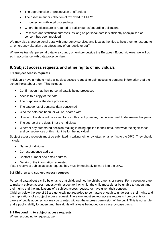- The apprehension or prosecution of offenders
- The assessment or collection of tax owed to HMRC
- In connection with legal proceedings
- Where the disclosure is required to satisfy our safeguarding obligations
- Research and statistical purposes, as long as personal data is sufficiently anonymised or consent has been provided

We may also share personal data with emergency services and local authorities to help them to respond to an emergency situation that affects any of our pupils or staff.

Where we transfer personal data to a country or territory outside the European Economic Area, we will do so in accordance with data protection law.

## **9. Subject access requests and other rights of individuals**

#### **9.1 Subject access requests**

Individuals have a right to make a 'subject access request' to gain access to personal information that the school holds about them. This includes:

- Confirmation that their personal data is being processed
- Access to a copy of the data
- The purposes of the data processing
- The categories of personal data concerned
- Who the data has been, or will be, shared with
- How long the data will be stored for, or if this isn't possible, the criteria used to determine this period
- The source of the data, if not the individual
- Whether any automated decision-making is being applied to their data, and what the significance and consequences of this might be for the individual

Subject access requests must be submitted in writing, either by letter, email or fax to the DPO. They should include:

- Name of individual
- Correspondence address
- Contact number and email address
- Details of the information requested

If staff receive a subject access request they must immediately forward it to the DPO.

#### **9.2 Children and subject access requests**

Personal data about a child belongs to that child, and not the child's parents or carers. For a parent or carer to make a subject access request with respect to their child, the child must either be unable to understand their rights and the implications of a subject access request, or have given their consent.

Children below the age of 12 are generally not regarded to be mature enough to understand their rights and the implications of a subject access request. Therefore, most subject access requests from parents or carers of pupils at our school may be granted without the express permission of the pupil. This is not a rule and a pupil's ability to understand their rights will always be judged on a case-by-case basis.

#### **9.3 Responding to subject access requests**

When responding to requests, we: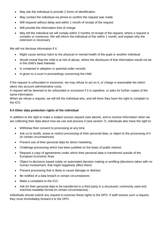- May ask the individual to provide 2 forms of identification
- May contact the individual via phone to confirm the request was made
- Will respond without delay and within 1 month of receipt of the request
- Will provide the information free of charge
- May tell the individual we will comply within 3 months of receipt of the request, where a request is complex or numerous. We will inform the individual of this within 1 month, and explain why the extension is necessary

We will not disclose information if it:

- Might cause serious harm to the physical or mental health of the pupil or another individual
- Would reveal that the child is at risk of abuse, where the disclosure of that information would not be in the child's best interests
- Is contained in adoption or parental order records
- Is given to a court in proceedings concerning the child

If the request is unfounded or excessive, we may refuse to act on it, or charge a reasonable fee which takes into account administrative costs.

A request will be deemed to be unfounded or excessive if it is repetitive, or asks for further copies of the same information.

When we refuse a request, we will tell the individual why, and tell them they have the right to complain to the ICO.

#### **9.4 Other data protection rights of the individual**

In addition to the right to make a subject access request (see above), and to receive information when we are collecting their data about how we use and process it (see section 7), individuals also have the right to:

- Withdraw their consent to processing at any time
- Ask us to rectify, erase or restrict processing of their personal data, or object to the processing of it (in certain circumstances)
- Prevent use of their personal data for direct marketing
- Challenge processing which has been justified on the basis of public interest
- Request a copy of agreements under which their personal data is transferred outside of the European Economic Area
- Object to decisions based solely on automated decision making or profiling (decisions taken with no human involvement, that might negatively affect them)
- Prevent processing that is likely to cause damage or distress
- Be notified of a data breach in certain circumstances
- Make a complaint to the ICO
- Ask for their personal data to be transferred to a third party in a structured, commonly used and machine-readable format (in certain circumstances)

Individuals should submit any request to exercise these rights to the DPO. If staff receive such a request, they must immediately forward it to the DPO.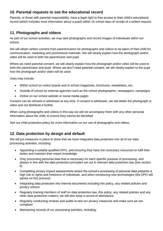## **10. Parental requests to see the educational record**

Parents, or those with parental responsibility, have a legal right to free access to their child's educational record (which includes most information about a pupil) within 15 school days of receipt of a written request.

## **11. Photographs and videos**

As part of our school activities, we may take photographs and record images of individuals within our school.

We will obtain written consent from parents/carers for photographs and videos to be taken of their child for communication, marketing and promotional materials. We will clearly explain how the photograph and/or video will be used to both the parent/carer and pupil.

Where we need parental consent, we will clearly explain how the photograph and/or video will be used to both the parent/carer and pupil. Where we don't need parental consent, we will clearly explain to the pupil how the photograph and/or video will be used.

Uses may include:

- Within school on notice boards and in school magazines, brochures, newsletters, etc.
- Outside of school by external agencies such as the school photographer, newspapers, campaigns
- Online on our school website or social media pages

Consent can be refused or withdrawn at any time. If consent is withdrawn, we will delete the photograph or video and not distribute it further.

When using photographs and videos in this way we will not accompany them with any other personal information about the child, to ensure they cannot be identified.

See our child protection policy for more information on our use of photographs and videos.

## **12. Data protection by design and default**

We will put measures in place to show that we have integrated data protection into all of our data processing activities, including:

- Appointing a suitably qualified DPO, and ensuring they have the necessary resources to fulfil their duties and maintain their expert knowledge
- Only processing personal data that is necessary for each specific purpose of processing, and always in line with the data protection principles set out in relevant data protection law (see section 6)
- Completing privacy impact assessments where the school's processing of personal data presents a high risk to rights and freedoms of individuals, and when introducing new technologies (the DPO will advise on this process)
- Integrating data protection into internal documents including this policy, any related policies and privacy notices
- Regularly training members of staff on data protection law, this policy, any related policies and any other data protection matters; we will also keep a record of attendance
- Regularly conducting reviews and audits to test our privacy measures and make sure we are compliant
- Maintaining records of our processing activities, including: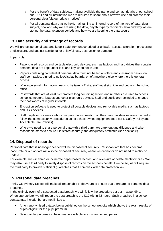- $\circ$  For the benefit of data subjects, making available the name and contact details of our school and DPO and all information we are required to share about how we use and process their personal data (via our privacy notices)
- $\circ$  For all personal data that we hold, maintaining an internal record of the type of data, data subject, how and why we are using the data, any third-party recipients, how and why we are storing the data, retention periods and how we are keeping the data secure

## **13. Data security and storage of records**

We will protect personal data and keep it safe from unauthorised or unlawful access, alteration, processing or disclosure, and against accidental or unlawful loss, destruction or damage.

In particular:

- Paper-based records and portable electronic devices, such as laptops and hard drives that contain personal data are kept under lock and key when not in use
- Papers containing confidential personal data must not be left on office and classroom desks, on staffroom tables, pinned to notice/display boards, or left anywhere else where there is general access
- Where personal information needs to be taken off site, staff must sign it in and out from the school office
- Passwords that are at least 8 characters long containing letters and numbers are used to access school computers, laptops and other electronic devices. Staff and pupils are reminded to change their passwords at regular intervals
- Encryption software is used to protect all portable devices and removable media, such as laptops and USB devices
- Staff, pupils or governors who store personal information on their personal devices are expected to follow the same security procedures as for school-owned equipment (see our E-Safety Policy and Acceptable Use Policies)
- Where we need to share personal data with a third party, we carry out due diligence and take reasonable steps to ensure it is stored securely and adequately protected (see section 8)

# **14. Disposal of records**

Personal data that is no longer needed will be disposed of securely. Personal data that has become inaccurate or out of date will also be disposed of securely, where we cannot or do not need to rectify or update it.

For example, we will shred or incinerate paper-based records, and overwrite or delete electronic files. We may also use a third party to safely dispose of records on the school's behalf. If we do so, we will require the third party to provide sufficient guarantees that it complies with data protection law.

## **15. Personal data breaches**

Trinity CE Primary School will make all reasonable endeavours to ensure that there are no personal data breaches.

In the unlikely event of a suspected data breach, we will follow the procedure set out in appendix 1. When appropriate, we will report the data breach to the ICO within 72 hours. Such breaches in a school context may include, but are not limited to:

- A non-anonymised dataset being published on the school website which shows the exam results of pupils eligible for the pupil premium
- Safeguarding information being made available to an unauthorised person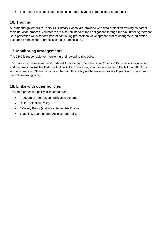• The theft of a school laptop containing non-encrypted personal data about pupils

# **16. Training**

All staff and governors at Trinity CE Primary School are provided with data protection training as part of their induction process. Volunteers are also reminded of their obligations through the Volunteer Agreement. Data protection will also form part of continuing professional development, where changes to legislation, guidance or the school's processes make it necessary.

## **17. Monitoring arrangements**

The DPO is responsible for monitoring and reviewing this policy.

This policy will be reviewed and updated if necessary when the Data Protection Bill receives royal assent and becomes law (as the Data Protection Act 2018) – if any changes are made to the bill that affect our school's practice. Otherwise, or from then on, this policy will be reviewed **every 2 years** and shared with the full governing body.

## **18. Links with other policies**

This data protection policy is linked to our:

- Freedom of information publication scheme
- Child Protection Policy
- E-Safety Policy (and Acceptable Use Policy)
- Teaching, Learning and Assessment Policy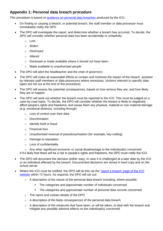## **Appendix 1: Personal data breach procedure**

This procedure is based on [guidance on personal data breaches](https://ico.org.uk/for-organisations/guide-to-the-general-data-protection-regulation-gdpr/personal-data-breaches/) produced by the ICO.

- On finding or causing a breach, or potential breach, the staff member or data processor must immediately notify the DPO
- The DPO will investigate the report, and determine whether a breach has occurred. To decide, the DPO will consider whether personal data has been accidentally or unlawfully:
	- o Lost
	- o Stolen
	- o Destroyed
	- o Altered
	- o Disclosed or made available where it should not have been
	- o Made available to unauthorised people
- The DPO will alert the headteacher and the chair of governors
- The DPO will make all reasonable efforts to contain and minimise the impact of the breach, assisted by relevant staff members or data processors where necessary. (Actions relevant to specific data types are set out at the end of this procedure)
- The DPO will assess the potential consequences, based on how serious they are, and how likely they are to happen
- The DPO will work out whether the breach must be reported to the ICO. This must be judged on a case-by-case basis. To decide, the DPO will consider whether the breach is likely to negatively affect people's rights and freedoms, and cause them any physical, material or non-material damage (e.g. emotional distress), including through:
	- o Loss of control over their data
	- o Discrimination
	- o Identify theft or fraud
	- o Financial loss
	- o Unauthorised reversal of pseudonymisation (for example, key-coding)
	- o Damage to reputation
	- o Loss of confidentiality

 $\circ$  Any other significant economic or social disadvantage to the individual(s) concerned If it's likely that there will be a risk to people's rights and freedoms, the DPO must notify the ICO.

- The DPO will document the decision (either way), in case it is challenged at a later date by the ICO or an individual affected by the breach. Documented decisions are stored in hard copy and on the school server.
- Where the ICO must be notified, the DPO will do this via the ['report a breach' page of the ICO](https://ico.org.uk/for-organisations/report-a-breach/)  [website](https://ico.org.uk/for-organisations/report-a-breach/) within 72 hours. As required, the DPO will set out:
	- o A description of the nature of the personal data breach including, where possible:
		- **The categories and approximate number of individuals concerned**
		- The categories and approximate number of personal data records concerned
	- o The name and contact details of the DPO
	- o A description of the likely consequences of the personal data breach
	- o A description of the measures that have been, or will be taken, to deal with the breach and mitigate any possible adverse effects on the individual(s) concerned